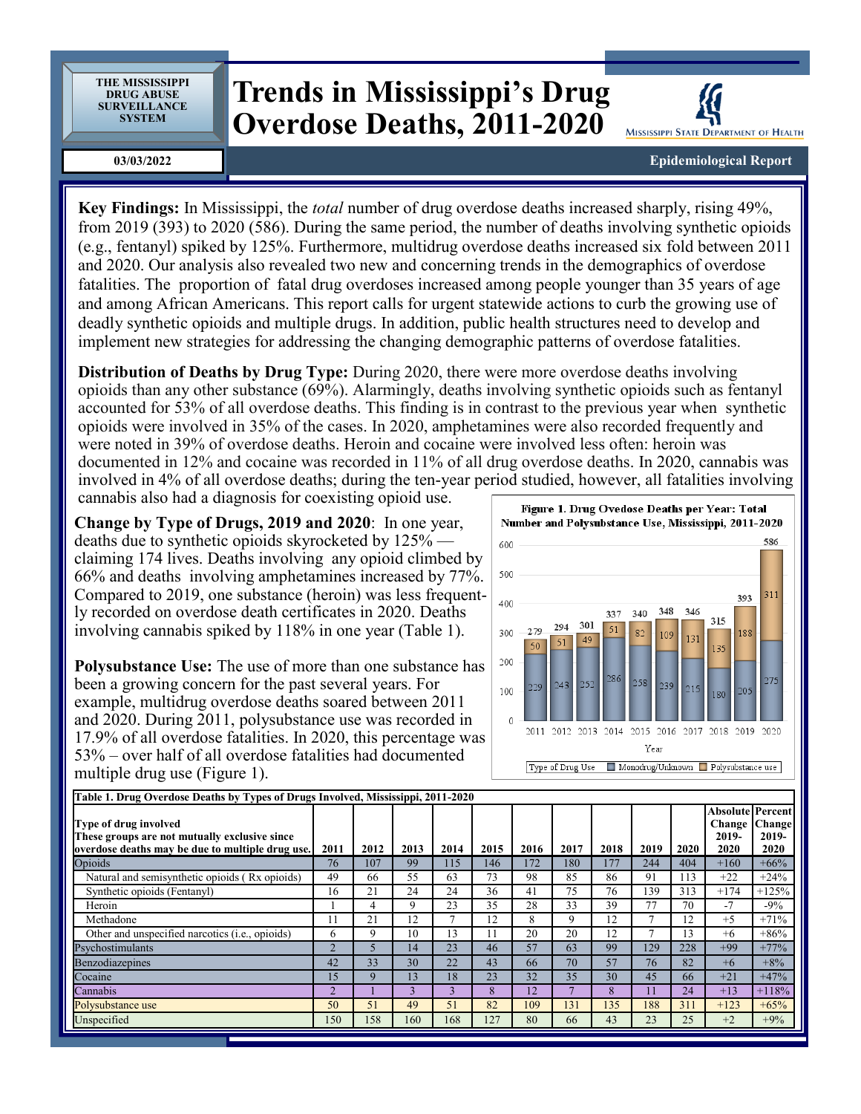**THE MISSISSIPPI DRUG ABUSE SURVEILLANCE SYSTEM**

## **Trends in Mississippi's Drug Overdose Deaths, 2011-2020**

**03/03/2022**

MISSISSIPPI STATE DEPARTMENT OF HEALTH

**Epidemiological Report**

**Key Findings:** In Mississippi, the *total* number of drug overdose deaths increased sharply, rising 49%, from 2019 (393) to 2020 (586). During the same period, the number of deaths involving synthetic opioids (e.g., fentanyl) spiked by 125%. Furthermore, multidrug overdose deaths increased six fold between 2011 and 2020. Our analysis also revealed two new and concerning trends in the demographics of overdose fatalities. The proportion of fatal drug overdoses increased among people younger than 35 years of age and among African Americans. This report calls for urgent statewide actions to curb the growing use of deadly synthetic opioids and multiple drugs. In addition, public health structures need to develop and implement new strategies for addressing the changing demographic patterns of overdose fatalities.

**Distribution of Deaths by Drug Type:** During 2020, there were more overdose deaths involving opioids than any other substance (69%). Alarmingly, deaths involving synthetic opioids such as fentanyl accounted for 53% of all overdose deaths. This finding is in contrast to the previous year when synthetic opioids were involved in 35% of the cases. In 2020, amphetamines were also recorded frequently and were noted in 39% of overdose deaths. Heroin and cocaine were involved less often: heroin was documented in 12% and cocaine was recorded in 11% of all drug overdose deaths. In 2020, cannabis was involved in 4% of all overdose deaths; during the ten-year period studied, however, all fatalities involving cannabis also had a diagnosis for coexisting opioid use.

**Change by Type of Drugs, 2019 and 2020**: In one year, deaths due to synthetic opioids skyrocketed by 125% claiming 174 lives. Deaths involving any opioid climbed by 66% and deaths involving amphetamines increased by 77%. Compared to 2019, one substance (heroin) was less frequently recorded on overdose death certificates in 2020. Deaths involving cannabis spiked by 118% in one year (Table 1).

**Polysubstance Use:** The use of more than one substance has been a growing concern for the past several years. For example, multidrug overdose deaths soared between 2011 and 2020. During 2011, polysubstance use was recorded in 17.9% of all overdose fatalities. In 2020, this percentage was 53% – over half of all overdose fatalities had documented multiple drug use (Figure 1).



| Table 1. Drug Overdose Deaths by Types of Drugs Involved, Mississippi, 2011-2020                                           |               |      |      |      |      |      |      |      |      |      |                                                    |                         |
|----------------------------------------------------------------------------------------------------------------------------|---------------|------|------|------|------|------|------|------|------|------|----------------------------------------------------|-------------------------|
| Type of drug involved<br>These groups are not mutually exclusive since<br>overdose deaths may be due to multiple drug use. | 2011          | 2012 | 2013 | 2014 | 2015 | 2016 | 2017 | 2018 | 2019 | 2020 | <b>Absolute Percent</b><br>Change<br>2019-<br>2020 | Change<br>2019-<br>2020 |
| Opioids                                                                                                                    | 76            | 107  | 99   | 115  | 146  | 172  | 180  | 177  | 244  | 404  | $+160$                                             | $+66%$                  |
| Natural and semisynthetic opioids (Rx opioids)                                                                             | 49            | 66   | 55   | 63   | 73   | 98   | 85   | 86   | 91   | 113  | $+22$                                              | $+24%$                  |
| Synthetic opioids (Fentanyl)                                                                                               | 16            | 21   | 24   | 24   | 36   | 41   | 75   | 76   | 139  | 313  | $+174$                                             | $+125%$                 |
| Heroin                                                                                                                     |               | 4    | 9    | 23   | 35   | 28   | 33   | 39   | 77   | 70   | $-7$                                               | $-9\%$                  |
| Methadone                                                                                                                  |               | 21   | 12   |      | 12   | 8    | 9    | 12   |      | 12   | $+5$                                               | $+71%$                  |
| Other and unspecified narcotics ( <i>i.e.</i> , opioids)                                                                   | 6             | 9    | 10   | 13   |      | 20   | 20   | 12   |      | 13   | $+6$                                               | $+86%$                  |
| Psychostimulants                                                                                                           | $\mathcal{D}$ |      | 14   | 23   | 46   | 57   | 63   | 99   | 129  | 228  | $+99$                                              | $+77%$                  |
| Benzodiazepines                                                                                                            | 42            | 33   | 30   | 22   | 43   | 66   | 70   | 57   | 76   | 82   | $+6$                                               | $+8%$                   |
| Cocaine                                                                                                                    | 15            | q    | 13   | 18   | 23   | 32   | 35   | 30   | 45   | 66   | $+21$                                              | $+47%$                  |
| Cannabis                                                                                                                   | $\sim$        |      |      |      | 8    | 12   | -    | 8    | 11   | 24   | $+13$                                              | $+118%$                 |
| Polysubstance use                                                                                                          | 50            | 51   | 49   | 51   | 82   | 109  | 131  | 135  | 188  | 311  | $+123$                                             | $+65%$                  |
| Unspecified                                                                                                                | 150           | 158  | 160  | 168  | 127  | 80   | 66   | 43   | 23   | 25   | $+2$                                               | $+9%$                   |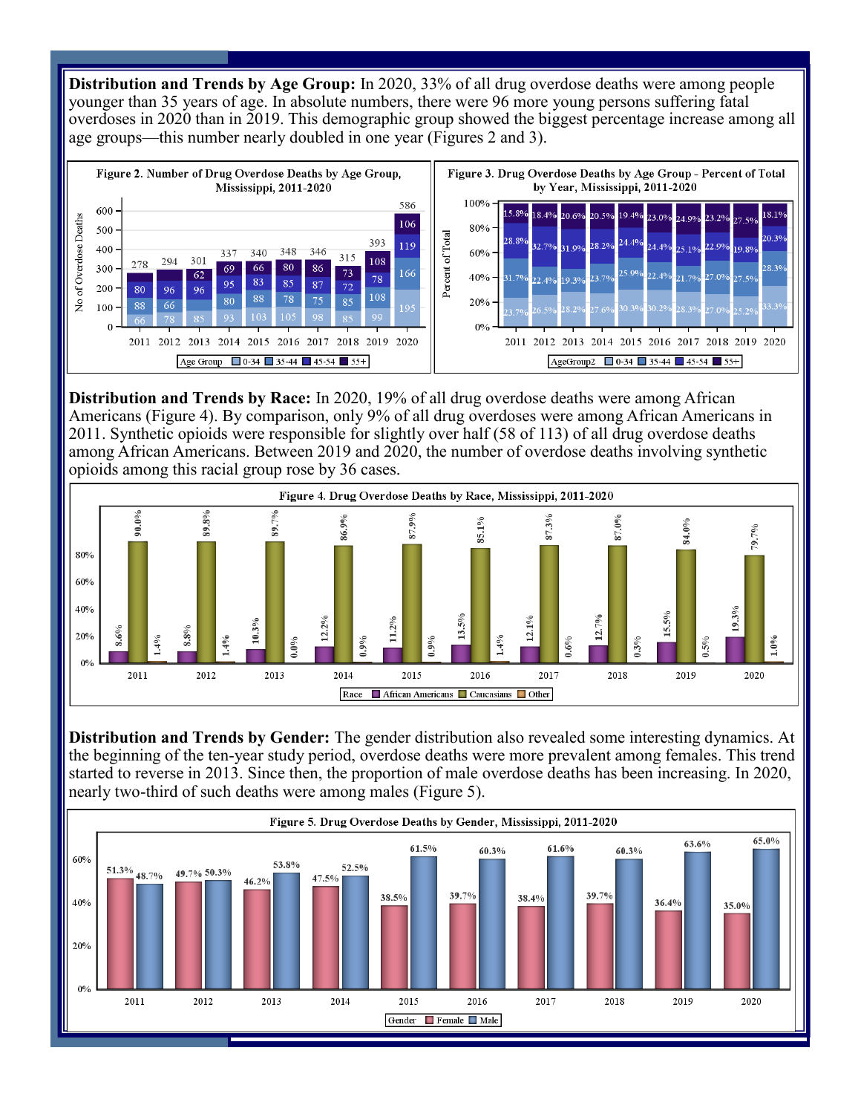**Distribution and Trends by Age Group:** In 2020, 33% of all drug overdose deaths were among people younger than 35 years of age. In absolute numbers, there were 96 more young persons suffering fatal overdoses in 2020 than in 2019. This demographic group showed the biggest percentage increase among all age groups—this number nearly doubled in one year (Figures 2 and 3).



**Distribution and Trends by Race:** In 2020, 19% of all drug overdose deaths were among African Americans (Figure 4). By comparison, only 9% of all drug overdoses were among African Americans in 2011. Synthetic opioids were responsible for slightly over half (58 of 113) of all drug overdose deaths among African Americans. Between 2019 and 2020, the number of overdose deaths involving synthetic opioids among this racial group rose by 36 cases.



**Distribution and Trends by Gender:** The gender distribution also revealed some interesting dynamics. At the beginning of the ten-year study period, overdose deaths were more prevalent among females. This trend started to reverse in 2013. Since then, the proportion of male overdose deaths has been increasing. In 2020, nearly two-third of such deaths were among males (Figure 5).

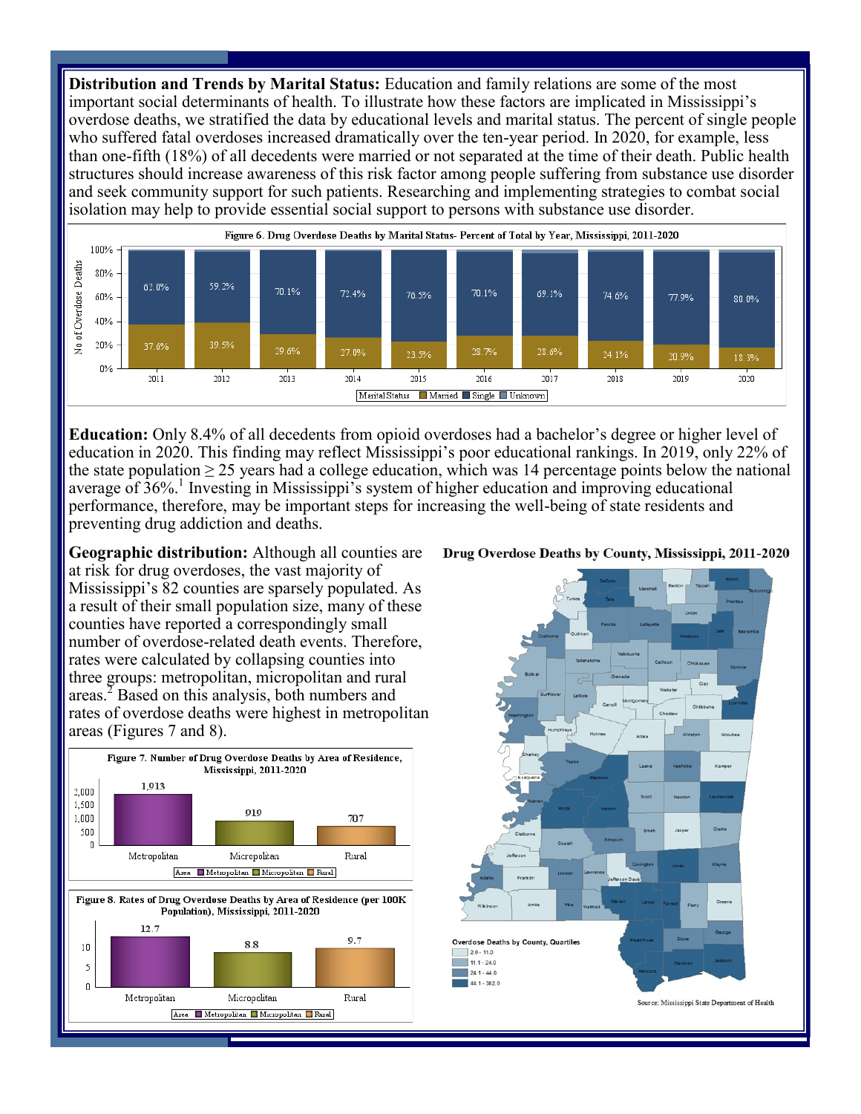**Distribution and Trends by Marital Status:** Education and family relations are some of the most important social determinants of health. To illustrate how these factors are implicated in Mississippi's overdose deaths, we stratified the data by educational levels and marital status. The percent of single people who suffered fatal overdoses increased dramatically over the ten-year period. In 2020, for example, less than one-fifth (18%) of all decedents were married or not separated at the time of their death. Public health structures should increase awareness of this risk factor among people suffering from substance use disorder and seek community support for such patients. Researching and implementing strategies to combat social isolation may help to provide essential social support to persons with substance use disorder.



**Education:** Only 8.4% of all decedents from opioid overdoses had a bachelor's degree or higher level of education in 2020. This finding may reflect Mississippi's poor educational rankings. In 2019, only 22% of the state population  $\geq$  25 years had a college education, which was 14 percentage points below the national average of 36%.<sup>1</sup> Investing in Mississippi's system of higher education and improving educational performance, therefore, may be important steps for increasing the well-being of state residents and preventing drug addiction and deaths.

**Geographic distribution:** Although all counties are at risk for drug overdoses, the vast majority of Mississippi's 82 counties are sparsely populated. As a result of their small population size, many of these counties have reported a correspondingly small number of overdose-related death events. Therefore, rates were calculated by collapsing counties into three groups: metropolitan, micropolitan and rural areas.<sup>2</sup> Based on this analysis, both numbers and rates of overdose deaths were highest in metropolitan areas (Figures 7 and 8).



## Drug Overdose Deaths by County, Mississippi, 2011-2020